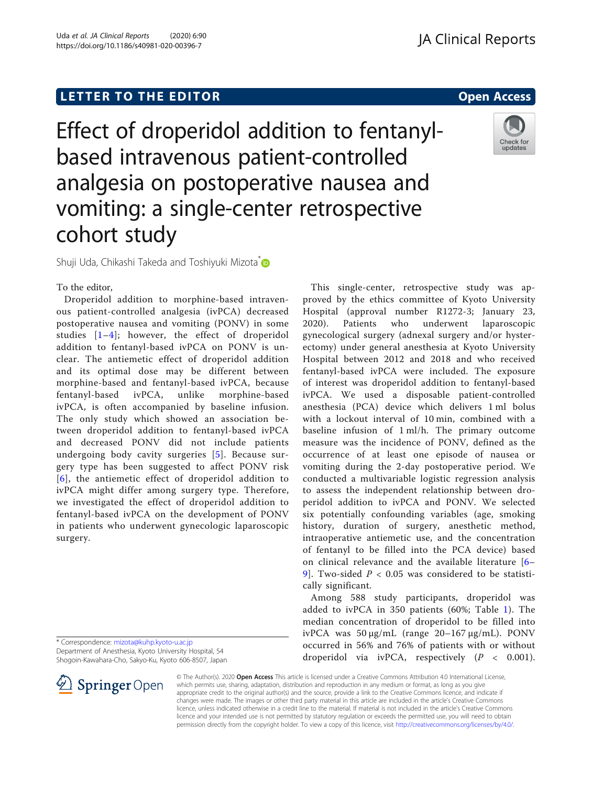# Effect of droperidol addition to fentanylbased intravenous patient-controlled analgesia on postoperative nausea and vomiting: a single-center retrospective cohort study

Shuji Uda, Chikashi Takeda and Toshiyuki Mizota<sup>\*</sup>

## To the editor,

Droperidol addition to morphine-based intravenous patient-controlled analgesia (ivPCA) decreased postoperative nausea and vomiting (PONV) in some studies [\[1](#page-1-0)–[4\]](#page-2-0); however, the effect of droperidol addition to fentanyl-based ivPCA on PONV is unclear. The antiemetic effect of droperidol addition and its optimal dose may be different between morphine-based and fentanyl-based ivPCA, because fentanyl-based ivPCA, unlike morphine-based ivPCA, is often accompanied by baseline infusion. The only study which showed an association between droperidol addition to fentanyl-based ivPCA and decreased PONV did not include patients undergoing body cavity surgeries [[5\]](#page-2-0). Because surgery type has been suggested to affect PONV risk [[6](#page-2-0)], the antiemetic effect of droperidol addition to ivPCA might differ among surgery type. Therefore, we investigated the effect of droperidol addition to fentanyl-based ivPCA on the development of PONV in patients who underwent gynecologic laparoscopic surgery.

\* Correspondence: [mizota@kuhp.kyoto-u.ac.jp](mailto:mizota@kuhp.kyoto-u.ac.jp) Department of Anesthesia, Kyoto University Hospital, 54 Shogoin-Kawahara-Cho, Sakyo-Ku, Kyoto 606-8507, Japan



This single-center, retrospective study was approved by the ethics committee of Kyoto University Hospital (approval number R1272-3; January 23, 2020). Patients who underwent laparoscopic gynecological surgery (adnexal surgery and/or hysterectomy) under general anesthesia at Kyoto University Hospital between 2012 and 2018 and who received fentanyl-based ivPCA were included. The exposure of interest was droperidol addition to fentanyl-based ivPCA. We used a disposable patient-controlled anesthesia (PCA) device which delivers 1 ml bolus with a lockout interval of 10 min, combined with a baseline infusion of 1 ml/h. The primary outcome measure was the incidence of PONV, defined as the occurrence of at least one episode of nausea or vomiting during the 2-day postoperative period. We conducted a multivariable logistic regression analysis to assess the independent relationship between droperidol addition to ivPCA and PONV. We selected six potentially confounding variables (age, smoking history, duration of surgery, anesthetic method, intraoperative antiemetic use, and the concentration of fentanyl to be filled into the PCA device) based on clinical relevance and the available literature [[6](#page-2-0)– 9. Two-sided  $P < 0.05$  was considered to be statistically significant.

Among 588 study participants, droperidol was added to ivPCA in 350 patients (60%; Table [1\)](#page-1-0). The median concentration of droperidol to be filled into ivPCA was 50 μg/mL (range 20–167 μg/mL). PONV occurred in 56% and 76% of patients with or without droperidol via ivPCA, respectively  $(P < 0.001)$ .

© The Author(s). 2020 Open Access This article is licensed under a Creative Commons Attribution 4.0 International License, which permits use, sharing, adaptation, distribution and reproduction in any medium or format, as long as you give appropriate credit to the original author(s) and the source, provide a link to the Creative Commons licence, and indicate if changes were made. The images or other third party material in this article are included in the article's Creative Commons licence, unless indicated otherwise in a credit line to the material. If material is not included in the article's Creative Commons licence and your intended use is not permitted by statutory regulation or exceeds the permitted use, you will need to obtain permission directly from the copyright holder. To view a copy of this licence, visit <http://creativecommons.org/licenses/by/4.0/>.

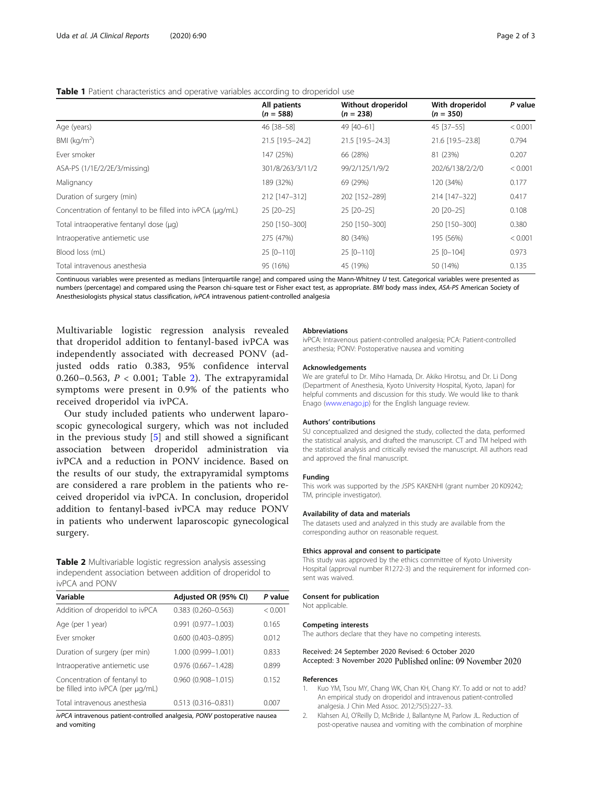<span id="page-1-0"></span>

|                                                           | All patients<br>$(n = 588)$ | Without droperidol<br>$(n = 238)$ | With droperidol<br>$(n = 350)$ | P value |
|-----------------------------------------------------------|-----------------------------|-----------------------------------|--------------------------------|---------|
| Age (years)                                               | 46 [38-58]                  | 49 [40-61]                        | 45 [37-55]                     | < 0.001 |
| BMI ( $kg/m2$ )                                           | 21.5 [19.5-24.2]            | 21.5 [19.5-24.3]                  | 21.6 [19.5-23.8]               | 0.794   |
| Ever smoker                                               | 147 (25%)                   | 66 (28%)                          | 81 (23%)                       | 0.207   |
| ASA-PS (1/1E/2/2E/3/missing)                              | 301/8/263/3/11/2            | 99/2/125/1/9/2                    | 202/6/138/2/2/0                | < 0.001 |
| Malignancy                                                | 189 (32%)                   | 69 (29%)                          | 120 (34%)                      | 0.177   |
| Duration of surgery (min)                                 | 212 [147-312]               | 202 [152-289]                     | 214 [147-322]                  | 0.417   |
| Concentration of fentanyl to be filled into ivPCA (µq/mL) | 25 [20-25]                  | 25 [20-25]                        | 20 [20-25]                     | 0.108   |
| Total intraoperative fentanyl dose (µg)                   | 250 [150-300]               | 250 [150-300]                     | 250 [150-300]                  | 0.380   |
| Intraoperative antiemetic use                             | 275 (47%)                   | 80 (34%)                          | 195 (56%)                      | < 0.001 |
| Blood loss (mL)                                           | 25 [0-110]                  | 25 [0-110]                        | 25 [0-104]                     | 0.973   |
| Total intravenous anesthesia                              | 95 (16%)                    | 45 (19%)                          | 50 (14%)                       | 0.135   |
|                                                           |                             |                                   |                                |         |

Continuous variables were presented as medians [interquartile range] and compared using the Mann-Whitney U test. Categorical variables were presented as numbers (percentage) and compared using the Pearson chi-square test or Fisher exact test, as appropriate. BMI body mass index, ASA-PS American Society of Anesthesiologists physical status classification, ivPCA intravenous patient-controlled analgesia

Multivariable logistic regression analysis revealed that droperidol addition to fentanyl-based ivPCA was independently associated with decreased PONV (adjusted odds ratio 0.383, 95% confidence interval 0.260–0.563,  $P < 0.001$ ; Table 2). The extrapyramidal symptoms were present in 0.9% of the patients who received droperidol via ivPCA.

Our study included patients who underwent laparoscopic gynecological surgery, which was not included in the previous study [\[5](#page-2-0)] and still showed a significant association between droperidol administration via ivPCA and a reduction in PONV incidence. Based on the results of our study, the extrapyramidal symptoms are considered a rare problem in the patients who received droperidol via ivPCA. In conclusion, droperidol addition to fentanyl-based ivPCA may reduce PONV in patients who underwent laparoscopic gynecological surgery.

Table 2 Multivariable logistic regression analysis assessing independent association between addition of droperidol to ivPCA and PONV

| Variable                                                         | Adjusted OR (95% CI)      | P value |
|------------------------------------------------------------------|---------------------------|---------|
| Addition of droperidol to ivPCA                                  | $0.383$ $(0.260 - 0.563)$ | < 0.001 |
| Age (per 1 year)                                                 | $0.991$ $(0.977 - 1.003)$ | 0.165   |
| Fver smoker                                                      | $0.600$ $(0.403 - 0.895)$ | 0.012   |
| Duration of surgery (per min)                                    | 1.000 (0.999-1.001)       | 0.833   |
| Intraoperative antiemetic use                                    | $0.976$ $(0.667 - 1.428)$ | 0.899   |
| Concentration of fentanyl to<br>be filled into ivPCA (per µg/mL) | $0.960(0.908 - 1.015)$    | 0.152   |
| Total intravenous anesthesia                                     | $0.513(0.316 - 0.831)$    | 0.007   |

ivPCA intravenous patient-controlled analgesia, PONV postoperative nausea and vomiting

#### Abbreviations

ivPCA: Intravenous patient-controlled analgesia; PCA: Patient-controlled anesthesia; PONV: Postoperative nausea and vomiting

#### Acknowledgements

We are grateful to Dr. Miho Hamada, Dr. Akiko Hirotsu, and Dr. Li Dong (Department of Anesthesia, Kyoto University Hospital, Kyoto, Japan) for helpful comments and discussion for this study. We would like to thank Enago ([www.enago.jp](http://www.enago.jp/)) for the English language review.

## Authors' contributions

SU conceptualized and designed the study, collected the data, performed the statistical analysis, and drafted the manuscript. CT and TM helped with the statistical analysis and critically revised the manuscript. All authors read and approved the final manuscript.

#### Funding

This work was supported by the JSPS KAKENHI (grant number 20 K09242; TM, principle investigator).

#### Availability of data and materials

The datasets used and analyzed in this study are available from the corresponding author on reasonable request.

## Ethics approval and consent to participate

This study was approved by the ethics committee of Kyoto University Hospital (approval number R1272-3) and the requirement for informed consent was waived.

## Consent for publication

Not applicable.

#### Competing interests

The authors declare that they have no competing interests.

## Received: 24 September 2020 Revised: 6 October 2020

Accepted: 3 November 2020 Published online: 09 November 2020

#### References

- 1. Kuo YM, Tsou MY, Chang WK, Chan KH, Chang KY. To add or not to add? An empirical study on droperidol and intravenous patient-controlled analgesia. J Chin Med Assoc. 2012;75(5):227–33.
- 2. Klahsen AJ, O'Reilly D, McBride J, Ballantyne M, Parlow JL. Reduction of post-operative nausea and vomiting with the combination of morphine